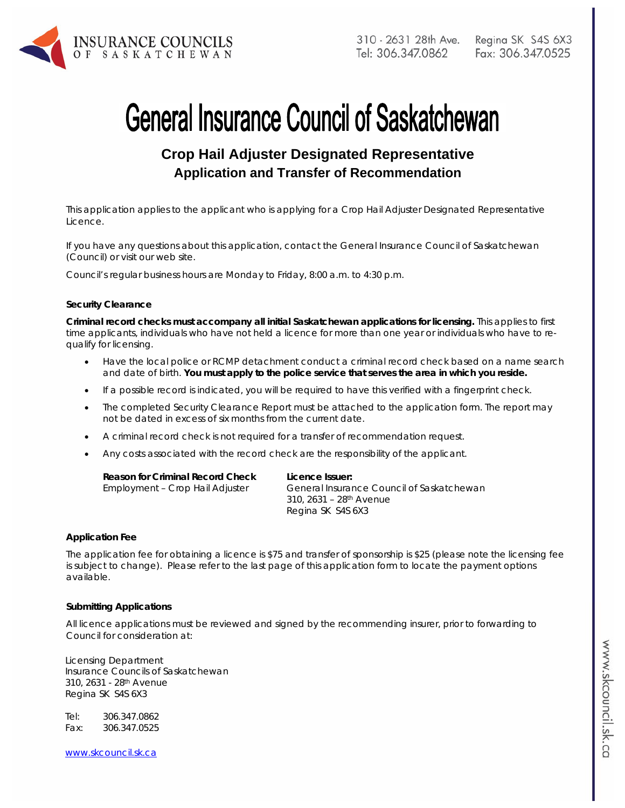

# **General Insurance Council of Saskatchewan**

## **Crop Hail Adjuster Designated Representative Application and Transfer of Recommendation**

*This application applies to the applicant who is applying for a Crop Hail Adjuster Designated Representative Licence.* 

If you have any questions about this application, contact the General Insurance Council of Saskatchewan (Council) or visit our web site.

Council's regular business hours are Monday to Friday, 8:00 a.m. to 4:30 p.m.

#### **Security Clearance**

**Criminal record checks must accompany all initial Saskatchewan applications for licensing.** This applies to first time applicants, individuals who have not held a licence for more than one year or individuals who have to requalify for licensing.

- Have the local police or RCMP detachment conduct a criminal record check based on a name search and date of birth. **You must apply to the police service that serves the area in which you reside.**
- If a possible record is indicated, you will be required to have this verified with a fingerprint check.
- The completed Security Clearance Report must be attached to the application form. The report may not be dated in excess of six months from the current date.
- A criminal record check is not required for a transfer of recommendation request.
- Any costs associated with the record check are the responsibility of the applicant.

| Reason for Criminal Record Check | Licence Issuer:                           |
|----------------------------------|-------------------------------------------|
| Employment - Crop Hail Adjuster  | General Insurance Council of Saskatchewan |
|                                  | 310, 2631 – 28 <sup>th</sup> Avenue       |
|                                  | Regina SK S4S 6X3                         |

#### **Application Fee**

The application fee for obtaining a licence is \$75 and transfer of sponsorship is \$25 (please note the licensing fee is subject to change). Please refer to the last page of this application form to locate the payment options available.

#### **Submitting Applications**

All licence applications must be reviewed and signed by the recommending insurer, prior to forwarding to Council for consideration at:

Licensing Department Insurance Councils of Saskatchewan 310, 2631 - 28th Avenue Regina SK S4S 6X3

Tel: 306.347.0862 Fax: 306.347.0525

www.skcouncil.sk.ca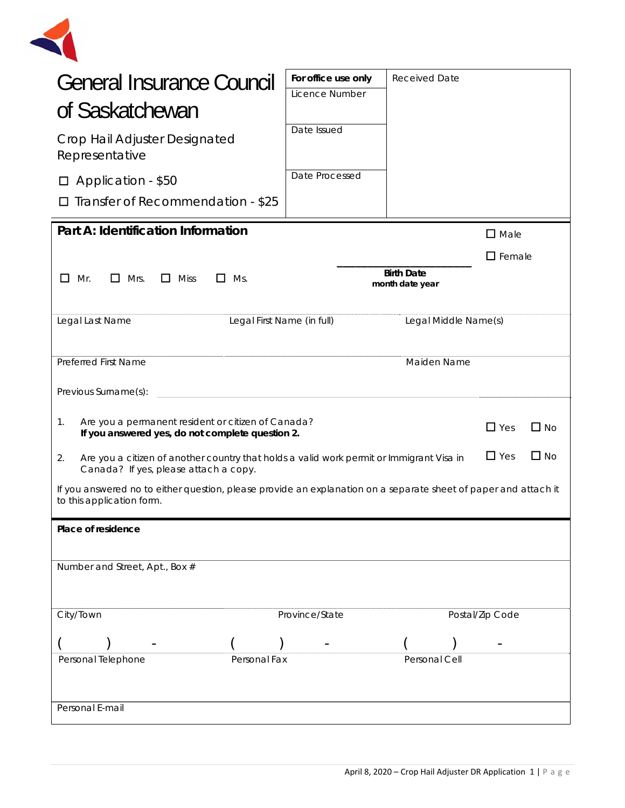

| <b>General Insurance Council</b><br>of Saskatchewan<br>Crop Hail Adjuster Designated<br>Representative<br>Application - \$50<br>Transfer of Recommendation - \$25  | For office use only<br>Licence Number<br>Date Issued<br>Date Processed | <b>Received Date</b>                 |                  |
|--------------------------------------------------------------------------------------------------------------------------------------------------------------------|------------------------------------------------------------------------|--------------------------------------|------------------|
| Part A: Identification Information                                                                                                                                 |                                                                        |                                      | $\square$ Male   |
| $\Box$ Mrs.<br>$\Box$<br>Mr.<br>$\Box$ Miss<br>$\Box$ Ms.                                                                                                          |                                                                        | <b>Birth Date</b><br>month date year | $\square$ Female |
| Legal First Name (in full)<br>Legal Last Name                                                                                                                      |                                                                        | Legal Middle Name(s)                 |                  |
| <b>Preferred First Name</b>                                                                                                                                        |                                                                        | Maiden Name                          |                  |
| Previous Surname(s):                                                                                                                                               |                                                                        |                                      |                  |
| Are you a permanent resident or citizen of Canada?<br>1.<br>$\Box$ No<br>$\Box$ Yes<br>If you answered yes, do not complete question 2.                            |                                                                        |                                      |                  |
| $\Box$ Yes<br>$\Box$ No<br>2.<br>Are you a citizen of another country that holds a valid work permit or Immigrant Visa in<br>Canada? If yes, please attach a copy. |                                                                        |                                      |                  |
| If you answered no to either question, please provide an explanation on a separate sheet of paper and attach it<br>to this application form.                       |                                                                        |                                      |                  |
| Place of residence                                                                                                                                                 |                                                                        |                                      |                  |
| Number and Street, Apt., Box #                                                                                                                                     |                                                                        |                                      |                  |
| City/Town                                                                                                                                                          | Province/State                                                         |                                      | Postal/Zip Code  |
|                                                                                                                                                                    |                                                                        |                                      |                  |
| Personal Telephone<br>Personal Fax                                                                                                                                 |                                                                        | Personal Cell                        |                  |
| Personal E-mail                                                                                                                                                    |                                                                        |                                      |                  |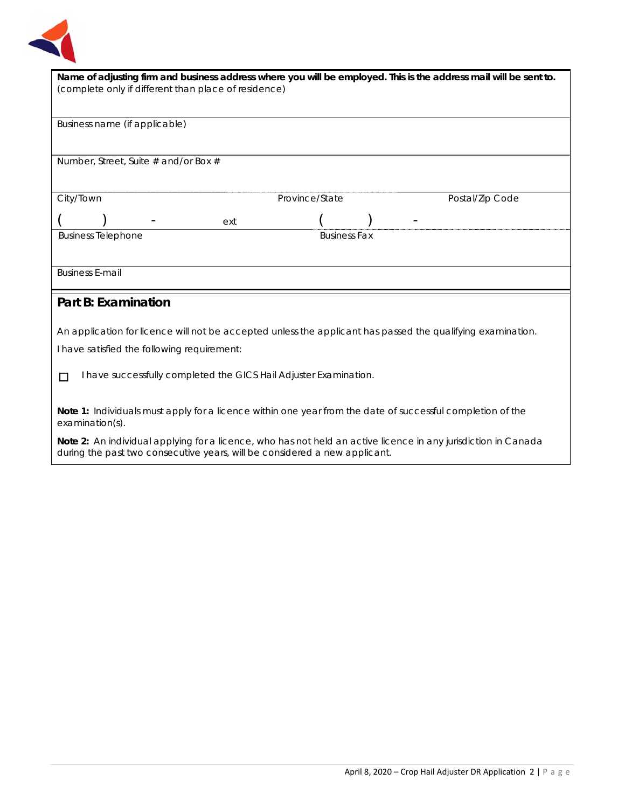

| Name of adjusting firm and business address where you will be employed. This is the address mail will be sent to.             |  |  |  |
|-------------------------------------------------------------------------------------------------------------------------------|--|--|--|
| (complete only if different than place of residence)                                                                          |  |  |  |
|                                                                                                                               |  |  |  |
| Business name (if applicable)                                                                                                 |  |  |  |
|                                                                                                                               |  |  |  |
|                                                                                                                               |  |  |  |
| Number, Street, Suite # and/or Box #                                                                                          |  |  |  |
|                                                                                                                               |  |  |  |
| City/Town<br>Province/State<br>Postal/Zip Code                                                                                |  |  |  |
|                                                                                                                               |  |  |  |
| ext                                                                                                                           |  |  |  |
| <b>Business Telephone</b><br><b>Business Fax</b>                                                                              |  |  |  |
|                                                                                                                               |  |  |  |
| <b>Business E-mail</b>                                                                                                        |  |  |  |
|                                                                                                                               |  |  |  |
| Part B: Examination                                                                                                           |  |  |  |
|                                                                                                                               |  |  |  |
| An application for licence will not be accepted unless the applicant has passed the qualifying examination.                   |  |  |  |
| I have satisfied the following requirement:                                                                                   |  |  |  |
|                                                                                                                               |  |  |  |
| I have successfully completed the GICS Hail Adjuster Examination.<br>П                                                        |  |  |  |
|                                                                                                                               |  |  |  |
|                                                                                                                               |  |  |  |
| Note 1: Individuals must apply for a licence within one year from the date of successful completion of the<br>examination(s). |  |  |  |
| Note 2: An individual applying for a licence, who has not held an active licence in any jurisdiction in Canada                |  |  |  |
| during the past two consecutive years, will be considered a new applicant.                                                    |  |  |  |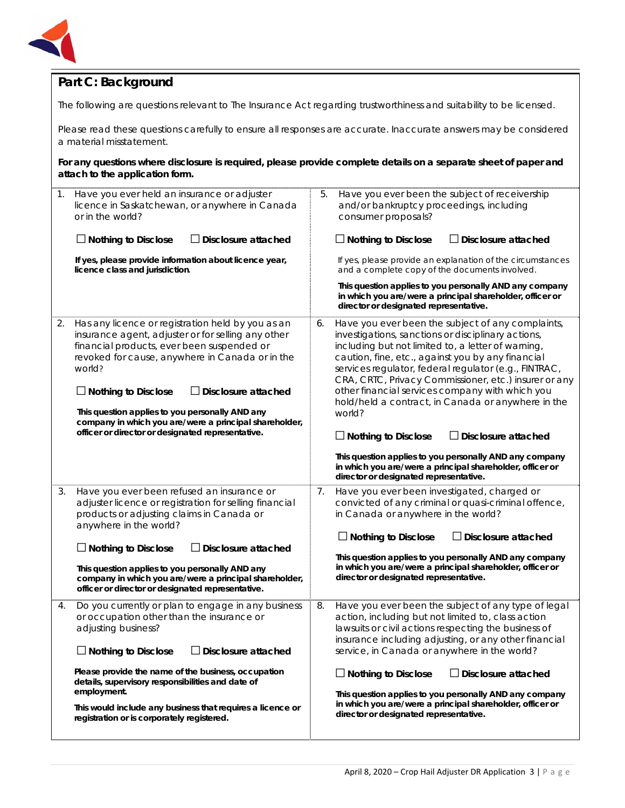

## **Part C: Background**

The following are questions relevant to *The Insurance Act* regarding trustworthiness and suitability to be licensed.

Please read these questions carefully to ensure all responses are accurate. Inaccurate answers may be considered a material misstatement.

**For any questions where disclosure is required, please provide complete details on a separate sheet of paper and attach to the application form.**

| $\mathbf 1$ . | Have you ever held an insurance or adjuster<br>licence in Saskatchewan, or anywhere in Canada<br>or in the world?                                                                                                                                                                                                                                                                                                                                |    | Have you ever been the subject of receivership<br>5.<br>and/or bankruptcy proceedings, including<br>consumer proposals?                                                                                                                                                                                                                                                                                                                                                                                             |  |  |
|---------------|--------------------------------------------------------------------------------------------------------------------------------------------------------------------------------------------------------------------------------------------------------------------------------------------------------------------------------------------------------------------------------------------------------------------------------------------------|----|---------------------------------------------------------------------------------------------------------------------------------------------------------------------------------------------------------------------------------------------------------------------------------------------------------------------------------------------------------------------------------------------------------------------------------------------------------------------------------------------------------------------|--|--|
|               | $\Box$ Nothing to Disclose<br>$\Box$ Disclosure attached                                                                                                                                                                                                                                                                                                                                                                                         |    | $\Box$ Nothing to Disclose<br>$\Box$ Disclosure attached                                                                                                                                                                                                                                                                                                                                                                                                                                                            |  |  |
|               | If yes, please provide information about licence year,<br>licence class and jurisdiction.                                                                                                                                                                                                                                                                                                                                                        |    | If yes, please provide an explanation of the circumstances<br>and a complete copy of the documents involved.                                                                                                                                                                                                                                                                                                                                                                                                        |  |  |
|               |                                                                                                                                                                                                                                                                                                                                                                                                                                                  |    | This question applies to you personally AND any company<br>in which you are/were a principal shareholder, officer or<br>director or designated representative.                                                                                                                                                                                                                                                                                                                                                      |  |  |
| 2.            | Has any licence or registration held by you as an<br>insurance agent, adjuster or for selling any other<br>financial products, ever been suspended or<br>revoked for cause, anywhere in Canada or in the<br>world?<br>$\Box$ Nothing to Disclose<br>$\Box$ Disclosure attached<br>This question applies to you personally AND any<br>company in which you are/were a principal shareholder,<br>officer or director or designated representative. | 6. | Have you ever been the subject of any complaints,<br>investigations, sanctions or disciplinary actions,<br>including but not limited to, a letter of warning,<br>caution, fine, etc., against you by any financial<br>services regulator, federal regulator (e.g., FINTRAC,<br>CRA, CRTC, Privacy Commissioner, etc.) insurer or any<br>other financial services company with which you<br>hold/held a contract, in Canada or anywhere in the<br>world?<br>$\Box$ Disclosure attached<br>$\Box$ Nothing to Disclose |  |  |
|               |                                                                                                                                                                                                                                                                                                                                                                                                                                                  |    | This question applies to you personally AND any company<br>in which you are/were a principal shareholder, officer or<br>director or designated representative.                                                                                                                                                                                                                                                                                                                                                      |  |  |
| 3.            | Have you ever been refused an insurance or<br>adjuster licence or registration for selling financial<br>products or adjusting claims in Canada or<br>anywhere in the world?                                                                                                                                                                                                                                                                      | 7. | Have you ever been investigated, charged or<br>convicted of any criminal or quasi-criminal offence,<br>in Canada or anywhere in the world?<br>$\Box$ Disclosure attached                                                                                                                                                                                                                                                                                                                                            |  |  |
|               | $\Box$ Nothing to Disclose<br>Disclosure attached                                                                                                                                                                                                                                                                                                                                                                                                |    | $\Box$ Nothing to Disclose                                                                                                                                                                                                                                                                                                                                                                                                                                                                                          |  |  |
|               | This question applies to you personally AND any<br>company in which you are/were a principal shareholder,<br>officer or director or designated representative.                                                                                                                                                                                                                                                                                   |    | This question applies to you personally AND any company<br>in which you are/were a principal shareholder, officer or<br>director or designated representative.                                                                                                                                                                                                                                                                                                                                                      |  |  |
| 4.            | Do you currently or plan to engage in any business<br>or occupation other than the insurance or<br>adjusting business?<br>Disclosure attached<br>$\Box$ Nothing to Disclose                                                                                                                                                                                                                                                                      | 8. | Have you ever been the subject of any type of legal<br>action, including but not limited to, class action<br>lawsuits or civil actions respecting the business of<br>insurance including adjusting, or any other financial<br>service, in Canada or anywhere in the world?                                                                                                                                                                                                                                          |  |  |
|               | Please provide the name of the business, occupation<br>details, supervisory responsibilities and date of<br>employment.<br>This would include any business that requires a licence or<br>registration or is corporately registered.                                                                                                                                                                                                              |    | $\Box$ Nothing to Disclose<br>$\Box$ Disclosure attached<br>This question applies to you personally AND any company<br>in which you are/were a principal shareholder, officer or<br>director or designated representative.                                                                                                                                                                                                                                                                                          |  |  |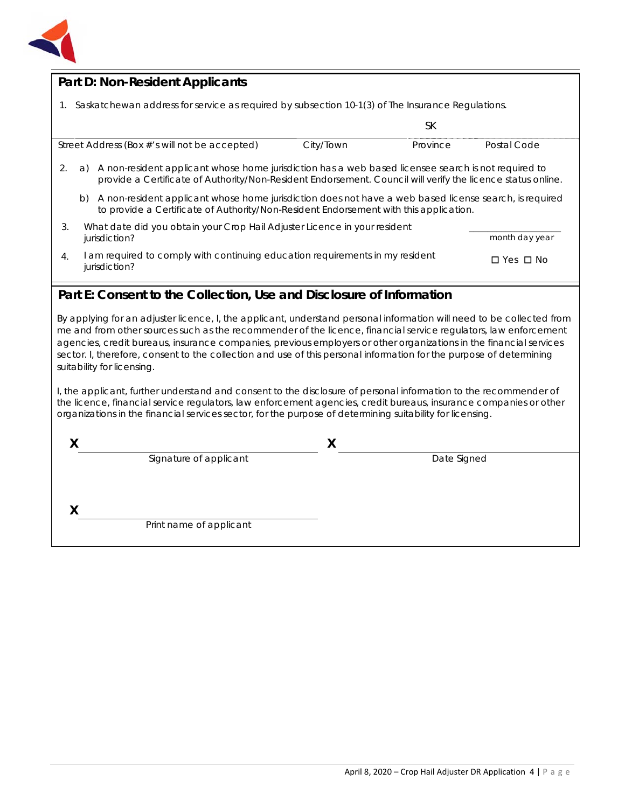

## **Part D: Non-Resident Applicants**

1. Saskatchewan address for service as required by subsection 10-1(3) of *The Insurance Regulations.*

|                                                                                                                    |                                                                                                                                                                                                                          |           | SК       |             |
|--------------------------------------------------------------------------------------------------------------------|--------------------------------------------------------------------------------------------------------------------------------------------------------------------------------------------------------------------------|-----------|----------|-------------|
| Street Address (Box #'s will not be accepted)                                                                      |                                                                                                                                                                                                                          | City/Town | Province | Postal Code |
| 2.                                                                                                                 | A non-resident applicant whose home jurisdiction has a web based licensee search is not required to<br>a)<br>provide a Certificate of Authority/Non-Resident Endorsement. Council will verify the licence status online. |           |          |             |
|                                                                                                                    | A non-resident applicant whose home jurisdiction does not have a web based license search, is required<br>b)<br>to provide a Certificate of Authority/Non-Resident Endorsement with this application.                    |           |          |             |
| What date did you obtain your Crop Hail Adjuster Licence in your resident<br>3.<br>month day year<br>jurisdiction? |                                                                                                                                                                                                                          |           |          |             |
| $\overline{4}$ .                                                                                                   | am required to comply with continuing education requirements in my resident<br>$\Box$ Yes $\Box$ No<br>jurisdiction?                                                                                                     |           |          |             |

### **Part E: Consent to the Collection, Use and Disclosure of Information**

By applying for an adjuster licence, I, the applicant, understand personal information will need to be collected from me and from other sources such as the recommender of the licence, financial service regulators, law enforcement agencies, credit bureaus, insurance companies, previous employers or other organizations in the financial services sector. I, therefore, consent to the collection and use of this personal information for the purpose of determining suitability for licensing.

I, the applicant, further understand and consent to the disclosure of personal information to the recommender of the licence, financial service regulators, law enforcement agencies, credit bureaus, insurance companies or other organizations in the financial services sector, for the purpose of determining suitability for licensing.

| Signature of applicant  | Date Signed |  |
|-------------------------|-------------|--|
|                         |             |  |
|                         |             |  |
| Print name of applicant |             |  |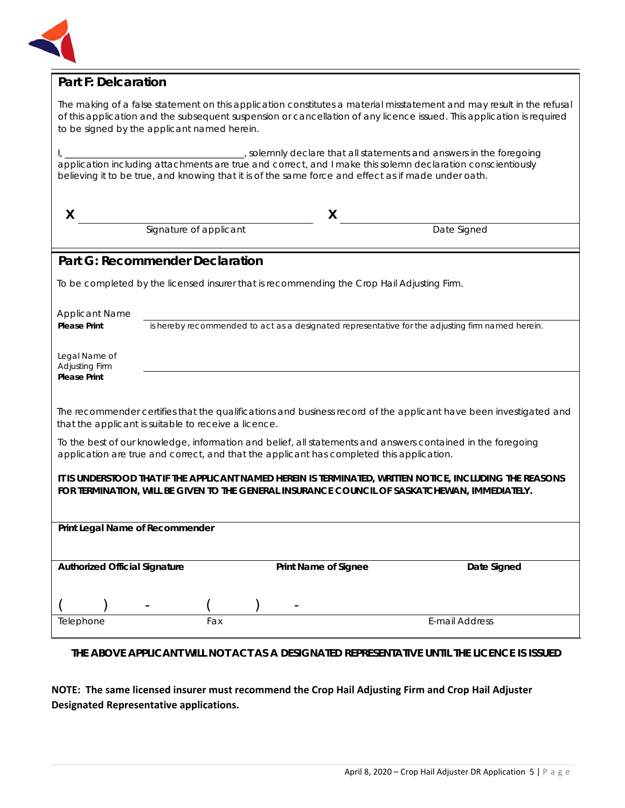

#### **Part F: Delcaration**

| The making of a false statement on this application constitutes a material misstatement and may result in the refusal |
|-----------------------------------------------------------------------------------------------------------------------|
| of this application and the subsequent suspension or cancellation of any licence issued. This application is required |
| to be signed by the applicant named herein.                                                                           |

I, \_\_\_\_\_\_\_\_\_\_\_\_\_\_\_\_\_\_\_\_\_\_\_\_\_\_\_\_\_\_\_\_\_\_\_\_\_\_\_, solemnly declare that all statements and answers in the foregoing application including attachments are true and correct, and I make this solemn declaration conscientiously believing it to be true, and knowing that it is of the same force and effect as if made under oath.

| X                                                                                                                                                                                                         |                                                                                            | X                    |                                                                                                                   |  |
|-----------------------------------------------------------------------------------------------------------------------------------------------------------------------------------------------------------|--------------------------------------------------------------------------------------------|----------------------|-------------------------------------------------------------------------------------------------------------------|--|
|                                                                                                                                                                                                           | Signature of applicant                                                                     |                      | Date Signed                                                                                                       |  |
|                                                                                                                                                                                                           | <b>Part G: Recommender Declaration</b>                                                     |                      |                                                                                                                   |  |
|                                                                                                                                                                                                           | To be completed by the licensed insurer that is recommending the Crop Hail Adjusting Firm. |                      |                                                                                                                   |  |
| <b>Applicant Name</b><br><b>Please Print</b>                                                                                                                                                              |                                                                                            |                      | is hereby recommended to act as a designated representative for the adjusting firm named herein.                  |  |
| Legal Name of<br>Adjusting Firm                                                                                                                                                                           |                                                                                            |                      |                                                                                                                   |  |
| <b>Please Print</b>                                                                                                                                                                                       |                                                                                            |                      |                                                                                                                   |  |
|                                                                                                                                                                                                           | that the applicant is suitable to receive a licence.                                       |                      | The recommender certifies that the qualifications and business record of the applicant have been investigated and |  |
| To the best of our knowledge, information and belief, all statements and answers contained in the foregoing<br>application are true and correct, and that the applicant has completed this application.   |                                                                                            |                      |                                                                                                                   |  |
| IT IS UNDERSTOOD THAT IF THE APPLICANT NAMED HEREIN IS TERMINATED, WRITTEN NOTICE, INCLUDING THE REASONS<br>FOR TERMINATION, WILL BE GIVEN TO THE GENERAL INSURANCE COUNCIL OF SASKATCHEWAN, IMMEDIATELY. |                                                                                            |                      |                                                                                                                   |  |
|                                                                                                                                                                                                           |                                                                                            |                      |                                                                                                                   |  |
| Print Legal Name of Recommender                                                                                                                                                                           |                                                                                            |                      |                                                                                                                   |  |
| <b>Authorized Official Signature</b>                                                                                                                                                                      |                                                                                            | Print Name of Signee | Date Signed                                                                                                       |  |
|                                                                                                                                                                                                           |                                                                                            |                      |                                                                                                                   |  |
|                                                                                                                                                                                                           |                                                                                            |                      |                                                                                                                   |  |
| Telephone                                                                                                                                                                                                 | Fax                                                                                        |                      | <b>E-mail Address</b>                                                                                             |  |

#### **THE ABOVE APPLICANT WILL NOT ACT AS A DESIGNATED REPRESENTATIVE UNTIL THE LICENCE IS ISSUED**

#### **NOTE: The same licensed insurer must recommend the Crop Hail Adjusting Firm and Crop Hail Adjuster Designated Representative applications.**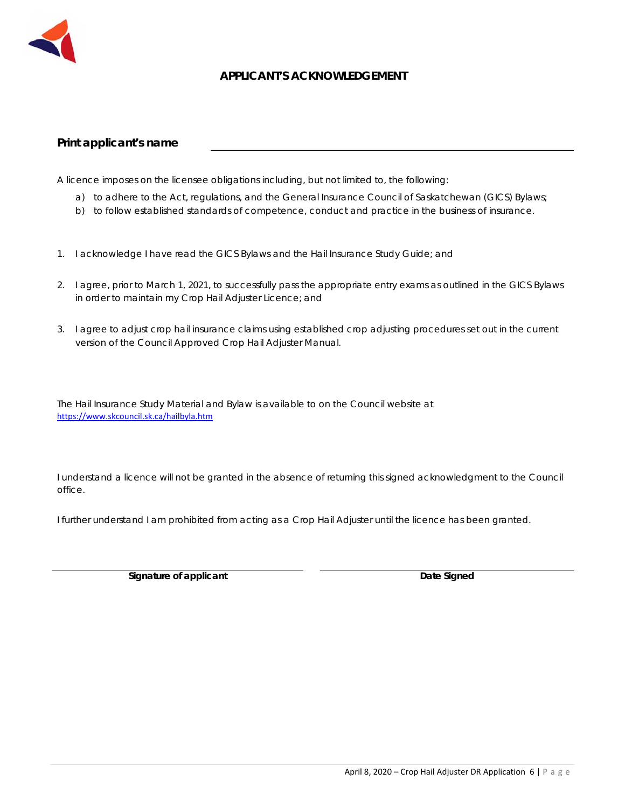

#### **APPLICANT'S ACKNOWLEDGEMENT**

#### **Print applicant's name**

A licence imposes on the licensee obligations including, but not limited to, the following:

- a) to adhere to the Act, regulations, and the General Insurance Council of Saskatchewan (GICS) Bylaws;
- b) to follow established standards of competence, conduct and practice in the business of insurance.
- 1. I acknowledge I have read the GICS Bylaws and the Hail Insurance Study Guide; and
- 2. I agree, prior to March 1, 2021, to successfully pass the appropriate entry exams as outlined in the GICS Bylaws in order to maintain my Crop Hail Adjuster Licence; and
- 3. I agree to adjust crop hail insurance claims using established crop adjusting procedures set out in the current version of the Council Approved Crop Hail Adjuster Manual.

The Hail Insurance Study Material and Bylaw is available to on the Council website at https://www.skcouncil.sk.ca/hailbyla.htm

I understand a licence will not be granted in the absence of returning this signed acknowledgment to the Council office.

I further understand I am prohibited from acting as a Crop Hail Adjuster until the licence has been granted.

**Signature of applicant Community Community Community Community Community Community Community Community Community Community Community Community Community Community Community Community Community Community Community Communit**